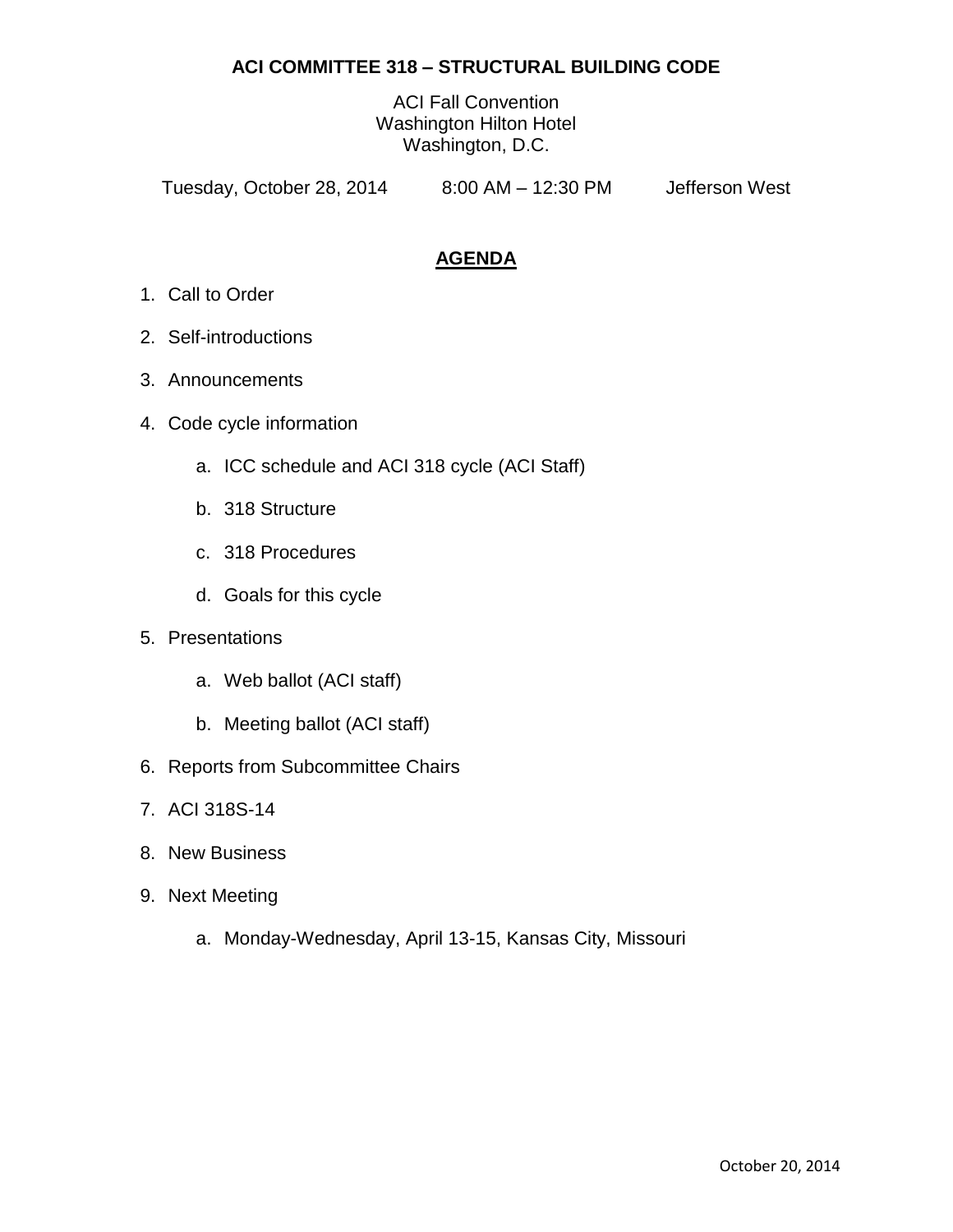## **ACI COMMITTEE 318 – STRUCTURAL BUILDING CODE**

ACI Fall Convention Washington Hilton Hotel Washington, D.C.

Tuesday, October 28, 2014 8:00 AM – 12:30 PM Jefferson West

# **AGENDA**

- 1. Call to Order
- 2. Self-introductions
- 3. Announcements
- 4. Code cycle information
	- a. ICC schedule and ACI 318 cycle (ACI Staff)
	- b. 318 Structure
	- c. 318 Procedures
	- d. Goals for this cycle
- 5. Presentations
	- a. Web ballot (ACI staff)
	- b. Meeting ballot (ACI staff)
- 6. Reports from Subcommittee Chairs
- 7. ACI 318S-14
- 8. New Business
- 9. Next Meeting
	- a. Monday-Wednesday, April 13-15, Kansas City, Missouri